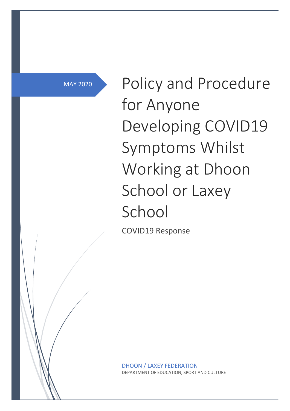MAY 2020

Policy and Procedure for Anyone Developing COVID19 Symptoms Whilst Working at Dhoon School or Laxey School

COVID19 Response

DHOON / LAXEY FEDERATION DEPARTMENT OF EDUCATION, SPORT AND CULTURE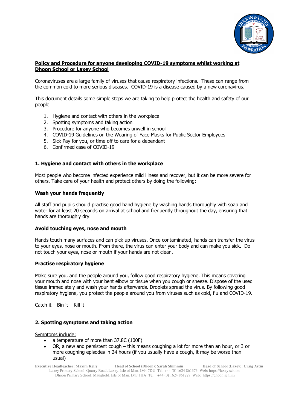

## **Policy and Procedure for anyone developing COVID-19 symptoms whilst working at Dhoon School or Laxey School**

Coronaviruses are a large family of viruses that cause respiratory infections. These can range from the common cold to more serious diseases. COVID-19 is a disease caused by a new coronavirus.

This document details some simple steps we are taking to help protect the health and safety of our people.

- 1. Hygiene and contact with others in the workplace
- 2. Spotting symptoms and taking action
- 3. Procedure for anyone who becomes unwell in school
- 4. COVID-19 Guidelines on the Wearing of Face Masks for Public Sector Employees
- 5. Sick Pay for you, or time off to care for a dependant
- 6. Confirmed case of COVID-19

#### **1. Hygiene and contact with others in the workplace**

Most people who become infected experience mild illness and recover, but it can be more severe for others. Take care of your health and protect others by doing the following:

#### **Wash your hands frequently**

All staff and pupils should practise good hand hygiene by washing hands thoroughly with soap and water for at least 20 seconds on arrival at school and frequently throughout the day, ensuring that hands are thoroughly dry.

#### **Avoid touching eyes, nose and mouth**

Hands touch many surfaces and can pick up viruses. Once contaminated, hands can transfer the virus to your eyes, nose or mouth. From there, the virus can enter your body and can make you sick. Do not touch your eyes, nose or mouth if your hands are not clean.

## **Practise respiratory hygiene**

Make sure you, and the people around you, follow good respiratory hygiene. This means covering your mouth and nose with your bent elbow or tissue when you cough or sneeze. Dispose of the used tissue immediately and wash your hands afterwards. Droplets spread the virus. By following good respiratory hygiene, you protect the people around you from viruses such as cold, flu and COVID-19.

Catch it – Bin it – Kill it!

#### **2. Spotting symptoms and taking action**

Symptoms include:

- a temperature of more than 37.8C (100F)
- OR, a new and persistent cough this means coughing a lot for more than an hour, or 3 or more coughing episodes in 24 hours (if you usually have a cough, it may be worse than usual)

**Executive Headteacher: Maxim Kelly Head of School (Dhoon): Sarah Shimmin Head of School (Laxey): Craig Astin** Laxey Primary School, Quarry Road, Laxey, Isle of Man. IM4 7DU. Tel: +44 (0) 1624 861373 Web: https://laxey.sch.im Dhoon Primary School, Maughold, Isle of Man. IM7 1HA. Tel: +44 (0) 1624 861227 Web: https://dhoon.sch.im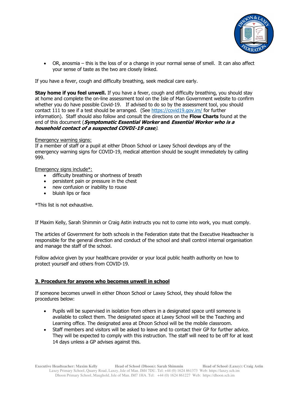

• OR, anosmia – this is the loss of or a change in your normal sense of smell. It can also affect your sense of taste as the two are closely linked.

If you have a fever, cough and difficulty breathing, seek medical care early.

**Stay home if you feel unwell.** If you have a fever, cough and difficulty breathing, you should stay at home and complete the on-line assessment tool on the Isle of Man Government website to confirm whether you do have possible Covid-19. If advised to do so by the assessment tool, you should contact 111 to see if a test should be arranged. (See https://covid19.gov.im/ for further information). Staff should also follow and consult the directions on the **Flow Charts** found at the end of this document (**Symptomatic Essential Worker and Essential Worker who is a household contact of a suspected COVDI-19 case**).

## Emergency warning signs:

If a member of staff or a pupil at either Dhoon School or Laxey School develops any of the emergency warning signs for COVID-19, medical attention should be sought immediately by calling 999.

Emergency signs include\*:

- difficulty breathing or shortness of breath
- persistent pain or pressure in the chest
- new confusion or inability to rouse
- bluish lips or face

\*This list is not exhaustive.

If Maxim Kelly, Sarah Shimmin or Craig Astin instructs you not to come into work, you must comply.

The articles of Government for both schools in the Federation state that the Executive Headteacher is responsible for the general direction and conduct of the school and shall control internal organisation and manage the staff of the school.

Follow advice given by your healthcare provider or your local public health authority on how to protect yourself and others from COVID-19.

## **3. Procedure for anyone who becomes unwell in school**

If someone becomes unwell in either Dhoon School or Laxey School, they should follow the procedures below:

- Pupils will be supervised in isolation from others in a designated space until someone is available to collect them. The designated space at Laxey School will be the Teaching and Learning office. The designated area at Dhoon School will be the mobile classroom.
- Staff members and visitors will be asked to leave and to contact their GP for further advice. They will be expected to comply with this instruction. The staff will need to be off for at least 14 days unless a GP advises against this.